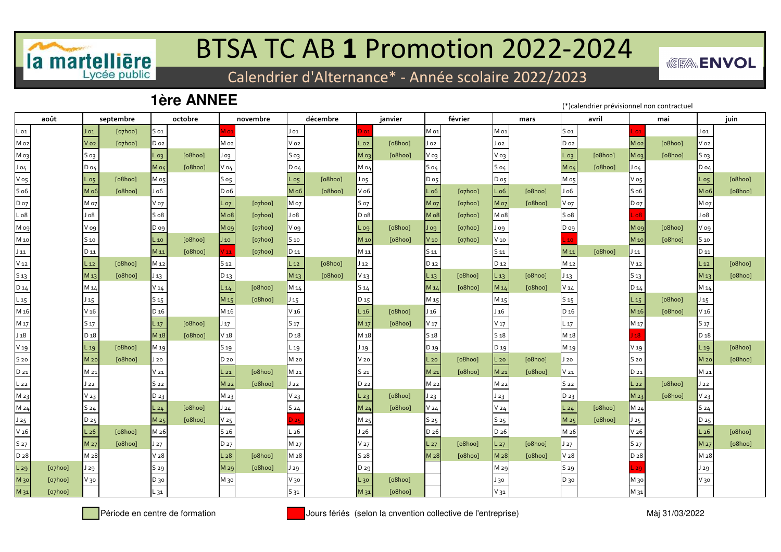

## BTSA TC AB **1** Promotion 2022-2024

Calendrier d'Alternance\* - Année scolaire 2022/2023

## **1ère ANNEE**

(\*)calendrier prévisionnel non contractuel

*<u><b>WEEA*</u> ENVOL

| août            |                   | septembre |                  | octobre |                 | novembre               |                  | décembre |                  | janvier |                  | février |                  | mars    |                 | avril   |                  | mai     | juin             |         |  |
|-----------------|-------------------|-----------|------------------|---------|-----------------|------------------------|------------------|----------|------------------|---------|------------------|---------|------------------|---------|-----------------|---------|------------------|---------|------------------|---------|--|
| L 01            | J 01              | [o7hoo]   | $S_{01}$         |         |                 |                        | $J_{01}$         |          | 01               |         | M 01             |         | M 01             |         | 501             |         | 01               |         | J 01             |         |  |
| M <sub>o2</sub> | V o2              | [o7hoo]   | $D_{02}$         |         | Mo <sub>2</sub> |                        | V o2             |          | L 02             | [o8hoo] | Jo2              |         | J 02             |         | D <sub>o2</sub> |         | Mo <sub>2</sub>  | [o8hoo] | $V_{02}$         |         |  |
| Моз             | S 03              |           | $L_{03}$         | [o8hoo] | J 03            |                        | $S$ 03           |          | M <sub>03</sub>  | [o8hoo] | V 03             |         | V 03             |         | $L_{03}$        | [o8hoo] | Моз              | [o8hoo] | $S_{03}$         |         |  |
| J04             | $D_04$            |           | M 04             | [o8hoo] | V 04            |                        | $D_04$           |          | M 04             |         | $S_04$           |         | $S_04$           |         | Mo4             | [o8hoo] | $J_{04}$         |         | D 04             |         |  |
| V o5            | $\overline{L}$ os | [o8hoo]   | M o5             |         | S o5            |                        | $L_{05}$         | [o8hoo]  | Jo <sub>5</sub>  |         | D o5             |         | Do <sub>5</sub>  |         | Mo5             |         | $V$ 05           |         | L <sub>05</sub>  | [o8hoo] |  |
| S <sub>06</sub> | M o6              | [o8hoo]   | J 06             |         | D o6            |                        | M o6             | [o8hoo]  | $V$ o6           |         | $L_{06}$         | [o7hoo] | L <sub>06</sub>  | [o8hoo] | J o6            |         | $S$ o6           |         | M o6             | [o8hoo] |  |
| Do7             | M 07              |           | V 07             |         | $L_{07}$        | $[o$ <sub>7</sub> hoo] | M o7             |          | S 07             |         | <b>Mo7</b>       | [o7hoo] | M 07             | [o8hoo] | V 07            |         | D 07             |         | M o7             |         |  |
| Lo8             | 8ol               |           | S <sub>0</sub> 8 |         | Mo8             | [o7hoo]                | 8 <sub>0</sub>   |          | D <sub>o</sub> 8 |         | Mo <sub>8</sub>  | [o7hoo] | M o8             |         | S <sub>08</sub> |         | ο8               |         | 8 <sub>0</sub>   |         |  |
| Mo9             | V og              |           | D og             |         | Mog             | [o7hoo]                | V og             |          | L og             | [o8hoo] | J og             | [o7hoo] | وه ل             |         | D og            |         | Mo9              | [o8hoo] | V og             |         |  |
| M 10            | S 10              |           | L 10             | [o8hoo] | $J_{10}$        | [o7hoo]                | S <sub>10</sub>  |          | M 10             | [o8hoo] | $V$ 10           | [o7hoo] | $V_{10}$         |         |                 |         | M 10             | [o8hoo] | S <sub>10</sub>  |         |  |
| $J_{11}$        | D 11              |           | M 11             | [o8hoo] | 111             | [o7hoo]                | D 11             |          | M 11             |         | 511              |         | S 11             |         | M 11            | [o8hoo] | $J_{11}$         |         | D 11             |         |  |
| V <sub>12</sub> | $L_{12}$          | [o8hoo]   | M <sub>12</sub>  |         | 512             |                        | $L_{12}$         | [o8hoo]  | $J_{12}$         |         | D 12             |         | D <sub>12</sub>  |         | M <sub>12</sub> |         | V <sub>12</sub>  |         | $L_{12}$         | [o8hoo] |  |
| 513             | M <sub>13</sub>   | [o8hoo]   | $J_{13}$         |         | D <sub>13</sub> |                        | M 13             | [o8hoo]  | $V_1$ 3          |         | $L_{13}$         | [o8hoo] | $L_{13}$         | [o8hoo] | $J_{13}$        |         | S 13             |         | M <sub>13</sub>  | [o8hoo] |  |
| $D_14$          | M 14              |           | $V_14$           |         | L14             | [o8hoo]                | M 14             |          | $S_14$           |         | M 14             | [o8hoo] | M 14             | [o8hoo] | V14             |         | D 14             |         | M 14             |         |  |
| $L_{15}$        | $J_{15}$          |           | S 15             |         | M <sub>15</sub> | [o8hoo]                | $J_{15}$         |          | D <sub>15</sub>  |         | M <sub>15</sub>  |         | M <sub>15</sub>  |         | S 15            |         | $L_{15}$         | [o8hoo] | $J_{15}$         |         |  |
| M <sub>16</sub> | V <sub>16</sub>   |           | D <sub>16</sub>  |         | M <sub>16</sub> |                        | V <sub>16</sub>  |          | $L_{16}$         | [o8hoo] | J <sub>16</sub>  |         | J <sub>16</sub>  |         | D <sub>16</sub> |         | M <sub>16</sub>  | [o8hoo] | V <sub>16</sub>  |         |  |
| M 17            | S 17              |           | $L_{17}$         | [o8hoo] | $J_{17}$        |                        | S 17             |          | M <sub>17</sub>  | [o8hoo] | V <sub>17</sub>  |         | V <sub>17</sub>  |         | L <sub>17</sub> |         | M <sub>17</sub>  |         | S 17             |         |  |
| J <sub>18</sub> | D <sub>18</sub>   |           | M <sub>18</sub>  | [o8hoo] | V <sub>18</sub> |                        | D <sub>18</sub>  |          | M <sub>18</sub>  |         | 518              |         | 518              |         | M <sub>18</sub> |         | 18               |         | D <sub>18</sub>  |         |  |
| V <sub>19</sub> | $-19$             | [o8hoo]   | M <sub>19</sub>  |         | S 19            |                        | L 19             |          | 19 ل             |         | D 19             |         | D <sub>19</sub>  |         | M 19            |         | V 19             |         | $L_{19}$         | [o8hoo] |  |
| S 20            | M <sub>20</sub>   | [o8hoo]   | J20              |         | D 20            |                        | M 20             |          | V 20             |         | $L_{20}$         | [o8hoo] | $L_{20}$         | [o8hoo] | J20             |         | S 20             |         | M 20             | [o8hoo] |  |
| D 21            | M 21              |           | V <sub>21</sub>  |         | $L_{21}$        | [o8hoo]                | M 21             |          | 521              |         | M 21             | [o8hoo] | M 21             | [o8hoo] | $V_{21}$        |         | D 21             |         | M 21             |         |  |
| $L_{22}$        | J 22              |           | S 22             |         | M <sub>22</sub> | [o8hoo]                | J22              |          | D 22             |         | M <sub>22</sub>  |         | M <sub>22</sub>  |         | S 22            |         | $L_{22}$         | [o8hoo] | $J_{22}$         |         |  |
| M 23            | V <sub>23</sub>   |           | D 23             |         | M 23            |                        | V <sub>23</sub>  |          | L 23             | [o8hoo] | J23              |         | J 23             |         | D 23            |         | M 23             | [o8hoo] | V <sub>23</sub>  |         |  |
| M 24            | S <sub>24</sub>   |           | L24              | [o8hoo] | J24             |                        | S <sub>24</sub>  |          | M <sub>24</sub>  | [o8hoo] | V <sub>24</sub>  |         | V 24             |         | L24             | [o8hoo] | M <sub>24</sub>  |         | S <sub>24</sub>  |         |  |
| J25             | D <sub>25</sub>   |           | M <sub>25</sub>  | [o8hoo] | V <sub>25</sub> |                        | 25               |          | M <sub>25</sub>  |         | S 25             |         | S 25             |         | M <sub>25</sub> | [o8hoo] | J25              |         | D 25             |         |  |
| V <sub>26</sub> | $\sqrt{26}$       | [o8hoo]   | M <sub>26</sub>  |         | S <sub>26</sub> |                        | L <sub>26</sub>  |          | J <sub>26</sub>  |         | D <sub>26</sub>  |         | D <sub>26</sub>  |         | M <sub>26</sub> |         | V <sub>26</sub>  |         | L <sub>26</sub>  | [o8hoo] |  |
| S <sub>27</sub> | M <sub>27</sub>   | [o8hoo]   | J27              |         | D 27            |                        | M 27             |          | V <sub>27</sub>  |         | L <sub>27</sub>  | [o8hoo] | $L_{27}$         | [o8hoo] | J27             |         | S 27             |         | M <sub>27</sub>  | [o8hoo] |  |
| D <sub>28</sub> | M <sub>2</sub> 8  |           | V <sub>28</sub>  |         | L <sub>28</sub> | [o8hoo]                | M <sub>2</sub> 8 |          | S <sub>28</sub>  |         | M <sub>2</sub> 8 | [o8hoo] | M <sub>2</sub> 8 | [o8hoo] | V <sub>28</sub> |         | D <sub>2</sub> 8 |         | M <sub>2</sub> 8 |         |  |
| [o7hoo]<br>L29  | J 29              |           | S 29             |         | M <sub>29</sub> | [o8hoo]                | J 29             |          | D 29             |         |                  |         | M 29             |         | S 29            |         | 29               |         | J 29             |         |  |
| [o7hoo]<br>M 30 | V 30              |           | D 30             |         | M 30            |                        | V 30             |          | L 30             | [o8hoo] |                  |         | J 30             |         | D 30            |         | M <sub>3</sub> c |         | $V_3$ o          |         |  |
| M 31<br>[o7hoo] |                   |           | L 31             |         |                 |                        | $S_{31}$         |          | M <sub>31</sub>  | [o8hoo] |                  |         | $V_31$           |         |                 |         | M 31             |         |                  |         |  |